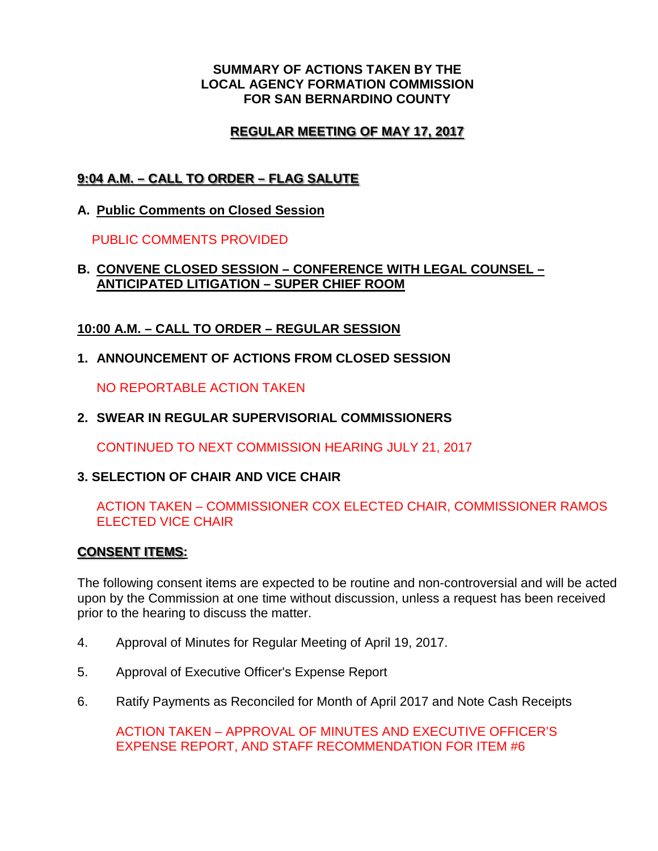#### **SUMMARY OF ACTIONS TAKEN BY THE LOCAL AGENCY FORMATION COMMISSION FOR SAN BERNARDINO COUNTY**

# **REGULAR MEETING OF MAY 17, 2017**

# **9:04 A.M. – CALL TO ORDER – FLAG SALUTE**

**A. Public Comments on Closed Session**

PUBLIC COMMENTS PROVIDED

### **B. CONVENE CLOSED SESSION – CONFERENCE WITH LEGAL COUNSEL – ANTICIPATED LITIGATION – SUPER CHIEF ROOM**

## **10:00 A.M. – CALL TO ORDER – REGULAR SESSION**

**1. ANNOUNCEMENT OF ACTIONS FROM CLOSED SESSION**

NO REPORTABLE ACTION TAKEN

**2. SWEAR IN REGULAR SUPERVISORIAL COMMISSIONERS**

CONTINUED TO NEXT COMMISSION HEARING JULY 21, 2017

# **3. SELECTION OF CHAIR AND VICE CHAIR**

## ACTION TAKEN – COMMISSIONER COX ELECTED CHAIR, COMMISSIONER RAMOS ELECTED VICE CHAIR

### **CONSENT ITEMS:**

The following consent items are expected to be routine and non-controversial and will be acted upon by the Commission at one time without discussion, unless a request has been received prior to the hearing to discuss the matter.

- 4. Approval of Minutes for Regular Meeting of April 19, 2017.
- 5. Approval of Executive Officer's Expense Report
- 6. Ratify Payments as Reconciled for Month of April 2017 and Note Cash Receipts

ACTION TAKEN – APPROVAL OF MINUTES AND EXECUTIVE OFFICER'S EXPENSE REPORT, AND STAFF RECOMMENDATION FOR ITEM #6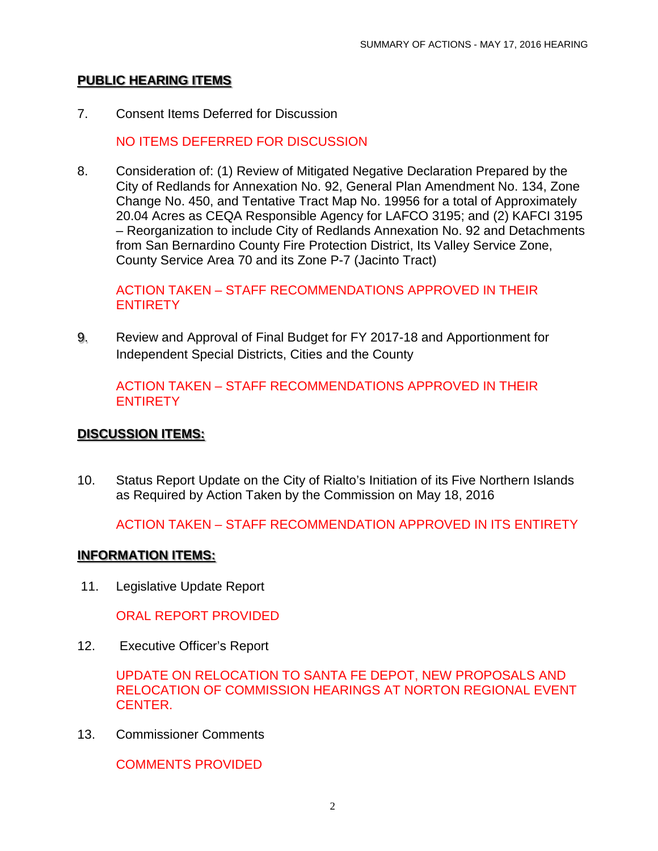## **PUBLIC HEARING ITEMS**

7. Consent Items Deferred for Discussion

NO ITEMS DEFERRED FOR DISCUSSION

8. Consideration of: (1) Review of Mitigated Negative Declaration Prepared by the City of Redlands for Annexation No. 92, General Plan Amendment No. 134, Zone Change No. 450, and Tentative Tract Map No. 19956 for a total of Approximately 20.04 Acres as CEQA Responsible Agency for LAFCO 3195; and (2) KAFCI 3195 – Reorganization to include City of Redlands Annexation No. 92 and Detachments from San Bernardino County Fire Protection District, Its Valley Service Zone, County Service Area 70 and its Zone P-7 (Jacinto Tract)

ACTION TAKEN – STAFF RECOMMENDATIONS APPROVED IN THEIR **ENTIRETY** 

9. Review and Approval of Final Budget for FY 2017-18 and Apportionment for Independent Special Districts, Cities and the County

ACTION TAKEN – STAFF RECOMMENDATIONS APPROVED IN THEIR **ENTIRETY** 

### **DISCUSSION ITEMS:**

10. Status Report Update on the City of Rialto's Initiation of its Five Northern Islands as Required by Action Taken by the Commission on May 18, 2016

ACTION TAKEN – STAFF RECOMMENDATION APPROVED IN ITS ENTIRETY

#### **INFORMATION ITEMS:**

11. Legislative Update Report

ORAL REPORT PROVIDED

12. Executive Officer's Report

UPDATE ON RELOCATION TO SANTA FE DEPOT, NEW PROPOSALS AND RELOCATION OF COMMISSION HEARINGS AT NORTON REGIONAL EVENT CENTER.

13. Commissioner Comments

COMMENTS PROVIDED